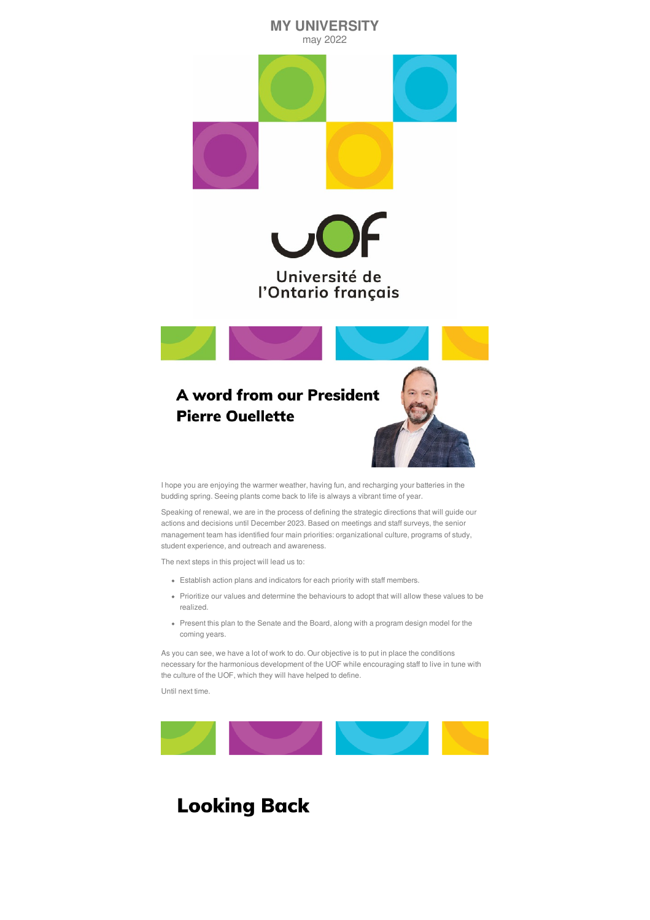

I hope you are enjoying the warmer weather, having fun, and recharging your batteries in the budding spring. Seeing plants come back to life is always a vibrant time of year.

Speaking of renewal, we are in the process of defining the strategic directions that will guide our actions and decisions until December 2023. Based on meetings and staff surveys, the senior management team has identified four main priorities: organizational culture, programs of study, student experience, and outreach and awareness.

The next steps in this project will lead us to:

- Establish action plans and indicators for each priority with staff members.
- Prioritize our values and determine the behaviours to adopt that will allow these values to be realized.
- Present this plan to the Senate and the Board, along with a program design model for the coming years.

As you can see, we have a lot of work to do. Our objective is to put in place the conditions necessary for the harmonious development of the UOF while encouraging staff to live in tune with the culture of the UOF, which they will have helped to define.

Until next time.



# **Looking Back**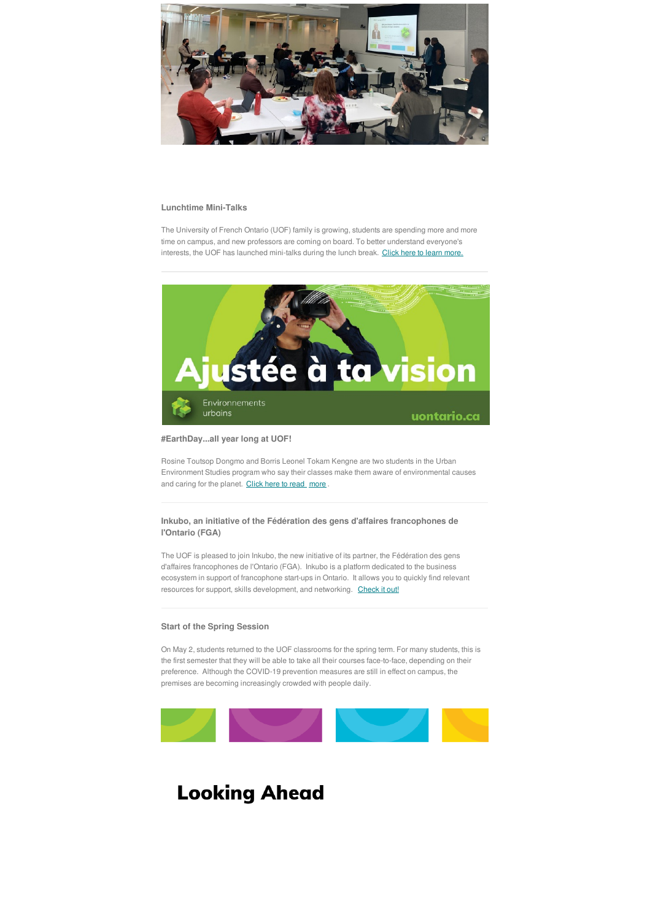

### **Lunchtime Mini-Talks**

The University of French Ontario (UOF) family is growing, students are spending more and more time on campus, and new professors are coming on board. To better understand everyone's interests, the UOF has launched mini-talks during the lunch break. Click here to learn [more.](https://uontario.ca/actualites-etudiants/mini-causerie-le-temps-dun-midi)



Rosine Toutsop Dongmo and Borris Leonel Tokam Kengne are two students in the Urban Environment Studies program who say their classes make them aware of environmental causes and caring for the planet. [Click](https://uontario.ca/actualites-etudiants/jourdelaterretout-le-long-de-lannee-a-luof) here to read [more](https://uontario.ca/actualites-etudiants/jourdelaterretout-le-long-de-lannee-a-luof) .

### **#EarthDay...all year long at UOF!**

**Inkubo, an initiative of the Fédération des gens d'affaires francophones de l'Ontario (FGA)**

The UOF is pleased to join Inkubo, the new initiative of its partner, the Fédération des gens d'affaires francophones de l'Ontario (FGA). Inkubo is a platform dedicated to the business ecosystem in support of francophone start-ups in Ontario. It allows you to quickly find relevant

resources for support, skills development, and networking. [Check](https://inkubo.ca/) it out!

## **Start of the Spring Session**

On May 2, students returned to the UOF classrooms for the spring term. For many students, this is the first semester that they will be able to take all their courses face-to-face, depending on their preference. Although the COVID-19 prevention measures are still in effect on campus, the premises are becoming increasingly crowded with people daily.



# **Looking Ahead**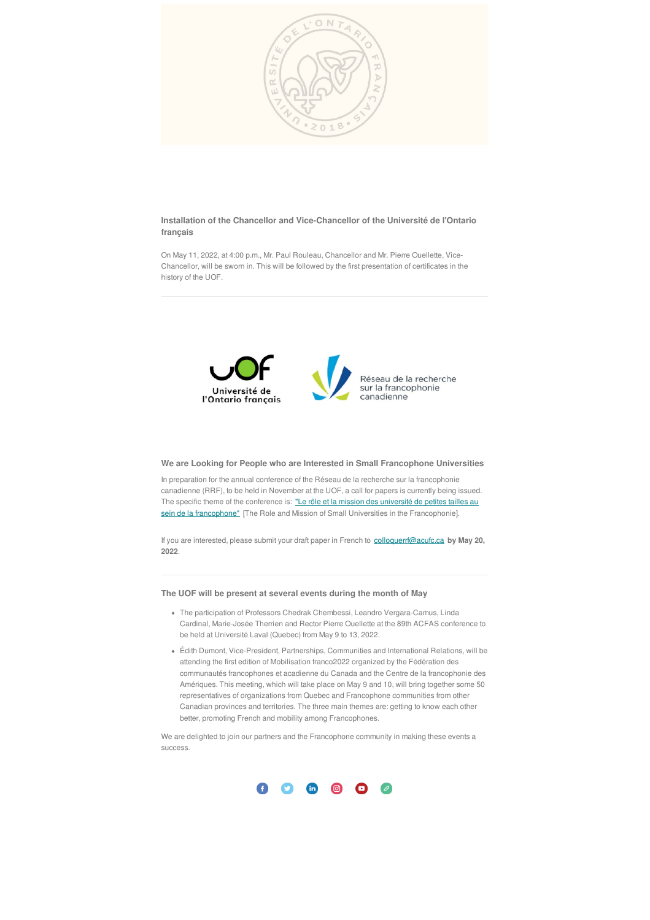

**Installation of the Chancellor and Vice-Chancellor of the Université de l'Ontario français**

In preparation for the annual conference of the Réseau de la recherche sur la francophonie canadienne (RRF), to be held in November at the UOF, a call for papers is currently being issued. The specific theme of the conference is: "Le rôle et la mission des université de petites tailles au sein de la francophone" [The Role and Mission of Small Universities in the [Francophonie\].](https://acufc.ca/wp-content/uploads/2022/03/Appel_communications_UOF_2022-FR.pdf)

On May 11, 2022, at 4:00 p.m., Mr. Paul Rouleau, Chancellor and Mr. Pierre Ouellette, Vice-Chancellor, will be sworn in. This will be followed by the first presentation of certificates in the history of the UOF.



# **We are Looking for People who are Interested in Small Francophone Universities**

If you are interested, please submit your draft paper in French to [colloquerrf@acufc.ca](mailto:colloquerrf@acufc.ca) **by May 20, 2022**.

#### **The UOF will be present at several events during the month of May**

- The participation of Professors Chedrak Chembessi, Leandro Vergara-Camus, Linda Cardinal, Marie-Josée Therrien and Rector Pierre Ouellette at the 89th ACFAS conference to be held at Université Laval (Quebec) from May 9 to 13, 2022.
- Édith Dumont, Vice-President, Partnerships, Communities and International Relations, will be attending the first edition of Mobilisation franco2022 organized by the Fédération des communautés francophones et acadienne du Canada and the Centre de la francophonie des Amériques. This meeting, which will take place on May 9 and 10, will bring together some 50 representatives of organizations from Quebec and Francophone communities from other Canadian provinces and territories. The three main themes are: getting to know each other better, promoting French and mobility among Francophones.

We are delighted to join our partners and the Francophone community in making these events a success.